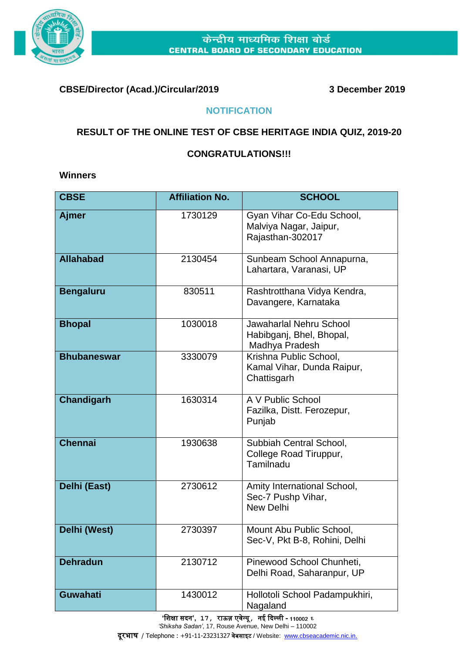

## **CBSE/Director (Acad.)/Circular/2019 3 December 2019**

## **NOTIFICATION**

## **RESULT OF THE ONLINE TEST OF CBSE HERITAGE INDIA QUIZ, 2019-20**

## **CONGRATULATIONS!!!**

**Winners** 

| <b>CBSE</b>        | <b>Affiliation No.</b> | <b>SCHOOL</b>                                                                |
|--------------------|------------------------|------------------------------------------------------------------------------|
| Ajmer              | 1730129                | Gyan Vihar Co-Edu School,<br>Malviya Nagar, Jaipur,<br>Rajasthan-302017      |
| <b>Allahabad</b>   | 2130454                | Sunbeam School Annapurna,<br>Lahartara, Varanasi, UP                         |
| <b>Bengaluru</b>   | 830511                 | Rashtrotthana Vidya Kendra,<br>Davangere, Karnataka                          |
| <b>Bhopal</b>      | 1030018                | <b>Jawaharlal Nehru School</b><br>Habibganj, Bhel, Bhopal,<br>Madhya Pradesh |
| <b>Bhubaneswar</b> | 3330079                | Krishna Public School,<br>Kamal Vihar, Dunda Raipur,<br>Chattisgarh          |
| <b>Chandigarh</b>  | 1630314                | A V Public School<br>Fazilka, Distt. Ferozepur,<br>Punjab                    |
| <b>Chennai</b>     | 1930638                | Subbiah Central School,<br>College Road Tiruppur,<br>Tamilnadu               |
| Delhi (East)       | 2730612                | Amity International School,<br>Sec-7 Pushp Vihar,<br><b>New Delhi</b>        |
| Delhi (West)       | 2730397                | Mount Abu Public School,<br>Sec-V, Pkt B-8, Rohini, Delhi                    |
| <b>Dehradun</b>    | 2130712                | Pinewood School Chunheti,<br>Delhi Road, Saharanpur, UP                      |
| <b>Guwahati</b>    | 1430012                | Hollotoli School Padampukhiri,<br>Nagaland                                   |